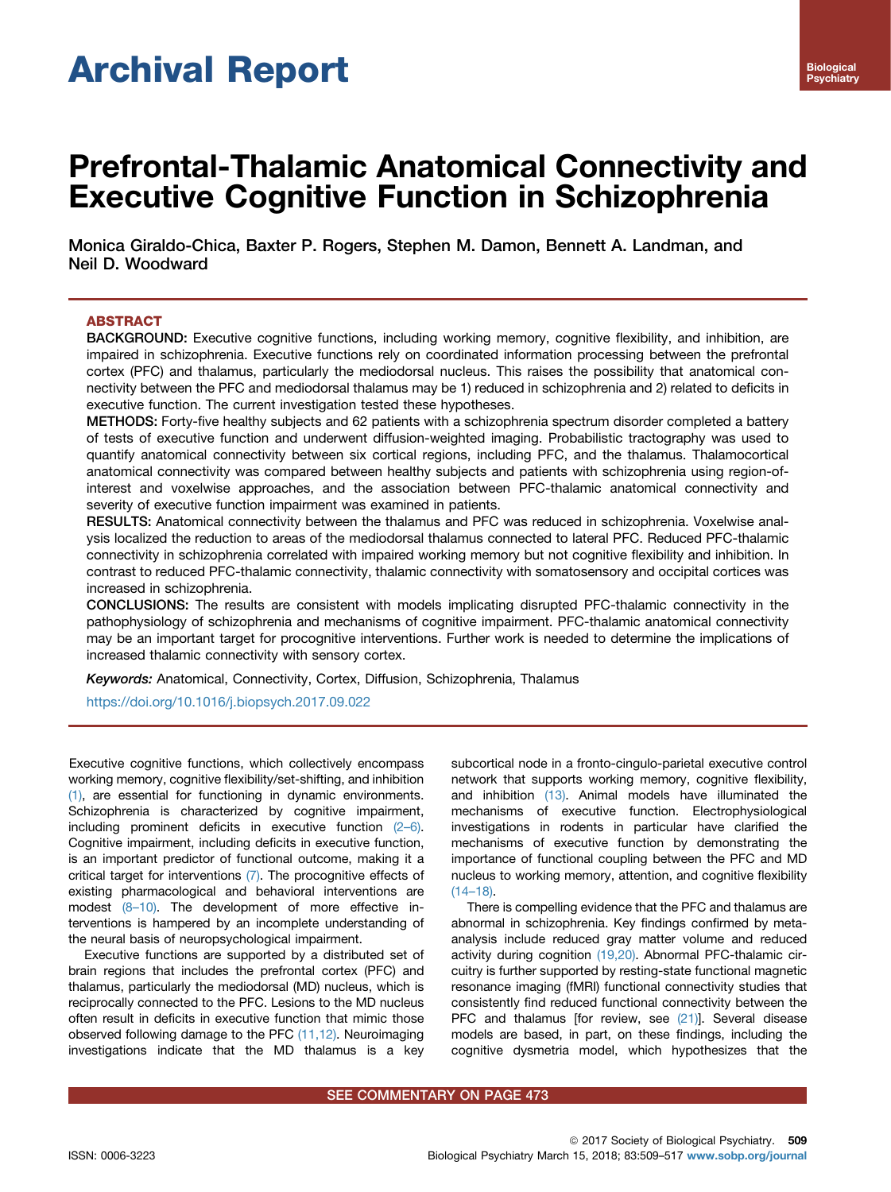# Archival Report

# Prefrontal-Thalamic Anatomical Connectivity and Executive Cognitive Function in Schizophrenia

Monica Giraldo-Chica, Baxter P. Rogers, Stephen M. Damon, Bennett A. Landman, and Neil D. Woodward

# ABSTRACT

BACKGROUND: Executive cognitive functions, including working memory, cognitive flexibility, and inhibition, are impaired in schizophrenia. Executive functions rely on coordinated information processing between the prefrontal cortex (PFC) and thalamus, particularly the mediodorsal nucleus. This raises the possibility that anatomical connectivity between the PFC and mediodorsal thalamus may be 1) reduced in schizophrenia and 2) related to deficits in executive function. The current investigation tested these hypotheses.

METHODS: Forty-five healthy subjects and 62 patients with a schizophrenia spectrum disorder completed a battery of tests of executive function and underwent diffusion-weighted imaging. Probabilistic tractography was used to quantify anatomical connectivity between six cortical regions, including PFC, and the thalamus. Thalamocortical anatomical connectivity was compared between healthy subjects and patients with schizophrenia using region-ofinterest and voxelwise approaches, and the association between PFC-thalamic anatomical connectivity and severity of executive function impairment was examined in patients.

RESULTS: Anatomical connectivity between the thalamus and PFC was reduced in schizophrenia. Voxelwise analysis localized the reduction to areas of the mediodorsal thalamus connected to lateral PFC. Reduced PFC-thalamic connectivity in schizophrenia correlated with impaired working memory but not cognitive flexibility and inhibition. In contrast to reduced PFC-thalamic connectivity, thalamic connectivity with somatosensory and occipital cortices was increased in schizophrenia.

CONCLUSIONS: The results are consistent with models implicating disrupted PFC-thalamic connectivity in the pathophysiology of schizophrenia and mechanisms of cognitive impairment. PFC-thalamic anatomical connectivity may be an important target for procognitive interventions. Further work is needed to determine the implications of increased thalamic connectivity with sensory cortex.

Keywords: Anatomical, Connectivity, Cortex, Diffusion, Schizophrenia, Thalamus

<https://doi.org/10.1016/j.biopsych.2017.09.022>

Executive cognitive functions, which collectively encompass working memory, cognitive flexibility/set-shifting, and inhibition [\(1\),](#page-7-0) are essential for functioning in dynamic environments. Schizophrenia is characterized by cognitive impairment, including prominent deficits in executive function [\(2](#page-7-0)–6). Cognitive impairment, including deficits in executive function, is an important predictor of functional outcome, making it a critical target for interventions [\(7\).](#page-7-0) The procognitive effects of existing pharmacological and behavioral interventions are modest (8–[10\).](#page-7-0) The development of more effective interventions is hampered by an incomplete understanding of the neural basis of neuropsychological impairment.

Executive functions are supported by a distributed set of brain regions that includes the prefrontal cortex (PFC) and thalamus, particularly the mediodorsal (MD) nucleus, which is reciprocally connected to the PFC. Lesions to the MD nucleus often result in deficits in executive function that mimic those observed following damage to the PFC [\(11,12\).](#page-7-0) Neuroimaging investigations indicate that the MD thalamus is a key subcortical node in a fronto-cingulo-parietal executive control network that supports working memory, cognitive flexibility, and inhibition [\(13\)](#page-7-0). Animal models have illuminated the mechanisms of executive function. Electrophysiological investigations in rodents in particular have clarified the mechanisms of executive function by demonstrating the importance of functional coupling between the PFC and MD nucleus to working memory, attention, and cognitive flexibility  $(14–18)$ .

There is compelling evidence that the PFC and thalamus are abnormal in schizophrenia. Key findings confirmed by metaanalysis include reduced gray matter volume and reduced activity during cognition [\(19,20\)](#page-7-0). Abnormal PFC-thalamic circuitry is further supported by resting-state functional magnetic resonance imaging (fMRI) functional connectivity studies that consistently find reduced functional connectivity between the PFC and thalamus [for review, see [\(21\)](#page-7-0)]. Several disease models are based, in part, on these findings, including the cognitive dysmetria model, which hypothesizes that the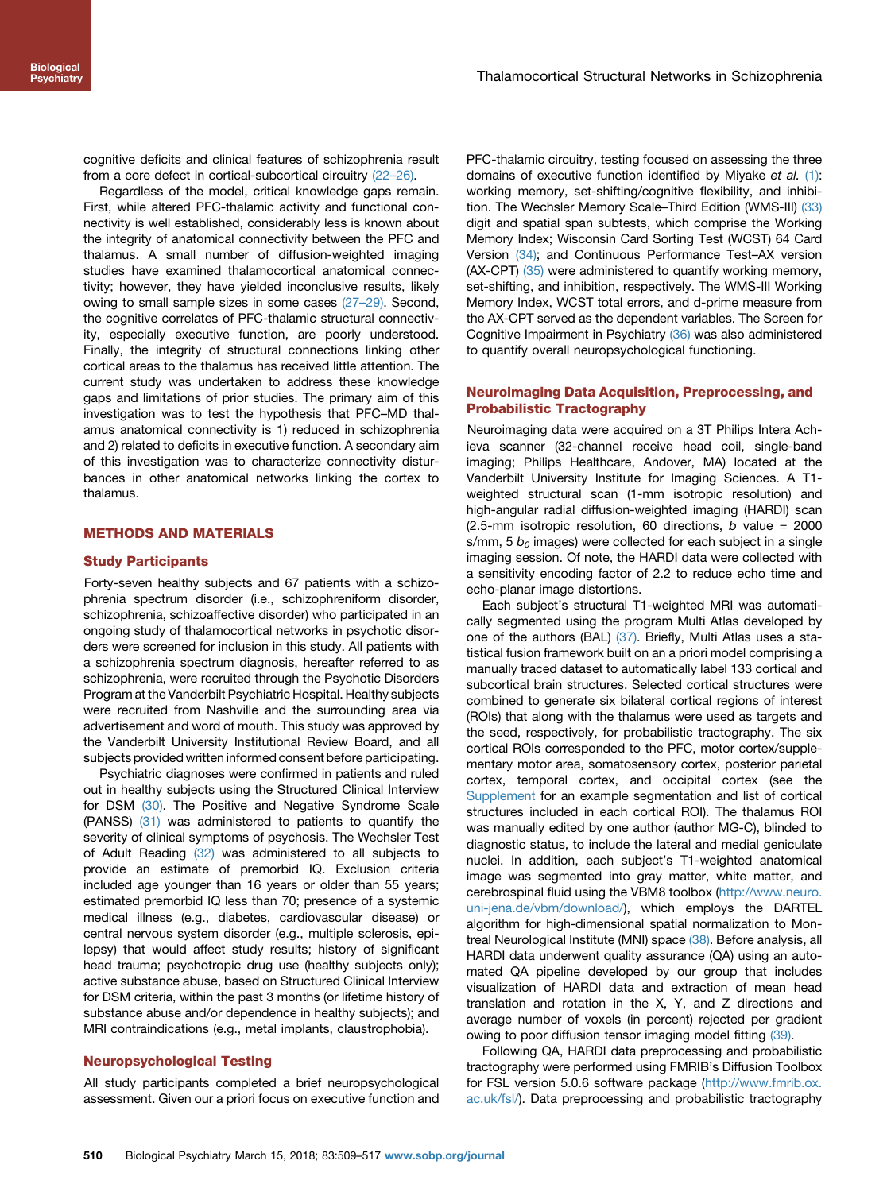cognitive deficits and clinical features of schizophrenia result from a core defect in cortical-subcortical circuitry (22–[26\).](#page-7-0)

Regardless of the model, critical knowledge gaps remain. First, while altered PFC-thalamic activity and functional connectivity is well established, considerably less is known about the integrity of anatomical connectivity between the PFC and thalamus. A small number of diffusion-weighted imaging studies have examined thalamocortical anatomical connectivity; however, they have yielded inconclusive results, likely owing to small sample sizes in some cases (27–[29\).](#page-7-0) Second, the cognitive correlates of PFC-thalamic structural connectivity, especially executive function, are poorly understood. Finally, the integrity of structural connections linking other cortical areas to the thalamus has received little attention. The current study was undertaken to address these knowledge gaps and limitations of prior studies. The primary aim of this investigation was to test the hypothesis that PFC–MD thalamus anatomical connectivity is 1) reduced in schizophrenia and 2) related to deficits in executive function. A secondary aim of this investigation was to characterize connectivity disturbances in other anatomical networks linking the cortex to thalamus.

# METHODS AND MATERIALS

#### Study Participants

Forty-seven healthy subjects and 67 patients with a schizophrenia spectrum disorder (i.e., schizophreniform disorder, schizophrenia, schizoaffective disorder) who participated in an ongoing study of thalamocortical networks in psychotic disorders were screened for inclusion in this study. All patients with a schizophrenia spectrum diagnosis, hereafter referred to as schizophrenia, were recruited through the Psychotic Disorders Program at the Vanderbilt Psychiatric Hospital. Healthy subjects were recruited from Nashville and the surrounding area via advertisement and word of mouth. This study was approved by the Vanderbilt University Institutional Review Board, and all subjects provided written informed consent before participating.

Psychiatric diagnoses were confirmed in patients and ruled out in healthy subjects using the Structured Clinical Interview for DSM [\(30\).](#page-7-0) The Positive and Negative Syndrome Scale (PANSS) [\(31\)](#page-7-0) was administered to patients to quantify the severity of clinical symptoms of psychosis. The Wechsler Test of Adult Reading [\(32\)](#page-7-0) was administered to all subjects to provide an estimate of premorbid IQ. Exclusion criteria included age younger than 16 years or older than 55 years; estimated premorbid IQ less than 70; presence of a systemic medical illness (e.g., diabetes, cardiovascular disease) or central nervous system disorder (e.g., multiple sclerosis, epilepsy) that would affect study results; history of significant head trauma; psychotropic drug use (healthy subjects only); active substance abuse, based on Structured Clinical Interview for DSM criteria, within the past 3 months (or lifetime history of substance abuse and/or dependence in healthy subjects); and MRI contraindications (e.g., metal implants, claustrophobia).

# Neuropsychological Testing

All study participants completed a brief neuropsychological assessment. Given our a priori focus on executive function and PFC-thalamic circuitry, testing focused on assessing the three domains of executive function identified by Miyake et al. [\(1\):](#page-7-0) working memory, set-shifting/cognitive flexibility, and inhibition. The Wechsler Memory Scale–Third Edition (WMS-III) [\(33\)](#page-7-0) digit and spatial span subtests, which comprise the Working Memory Index; Wisconsin Card Sorting Test (WCST) 64 Card Version [\(34\)](#page-7-0); and Continuous Performance Test–AX version (AX-CPT) [\(35\)](#page-7-0) were administered to quantify working memory, set-shifting, and inhibition, respectively. The WMS-III Working Memory Index, WCST total errors, and d-prime measure from the AX-CPT served as the dependent variables. The Screen for Cognitive Impairment in Psychiatry [\(36\)](#page-7-0) was also administered to quantify overall neuropsychological functioning.

#### Neuroimaging Data Acquisition, Preprocessing, and Probabilistic Tractography

Neuroimaging data were acquired on a 3T Philips Intera Achieva scanner (32-channel receive head coil, single-band imaging; Philips Healthcare, Andover, MA) located at the Vanderbilt University Institute for Imaging Sciences. A T1 weighted structural scan (1-mm isotropic resolution) and high-angular radial diffusion-weighted imaging (HARDI) scan (2.5-mm isotropic resolution, 60 directions,  $b$  value = 2000 s/mm, 5  $b<sub>0</sub>$  images) were collected for each subject in a single imaging session. Of note, the HARDI data were collected with a sensitivity encoding factor of 2.2 to reduce echo time and echo-planar image distortions.

Each subject's structural T1-weighted MRI was automatically segmented using the program Multi Atlas developed by one of the authors (BAL) [\(37\)](#page-7-0). Briefly, Multi Atlas uses a statistical fusion framework built on an a priori model comprising a manually traced dataset to automatically label 133 cortical and subcortical brain structures. Selected cortical structures were combined to generate six bilateral cortical regions of interest (ROIs) that along with the thalamus were used as targets and the seed, respectively, for probabilistic tractography. The six cortical ROIs corresponded to the PFC, motor cortex/supplementary motor area, somatosensory cortex, posterior parietal cortex, temporal cortex, and occipital cortex (see the Supplement for an example segmentation and list of cortical structures included in each cortical ROI). The thalamus ROI was manually edited by one author (author MG-C), blinded to diagnostic status, to include the lateral and medial geniculate nuclei. In addition, each subject's T1-weighted anatomical image was segmented into gray matter, white matter, and cerebrospinal fluid using the VBM8 toolbox [\(http://www.neuro.](http://www.neuro.uni-jena.de/vbm/download/) [uni-jena.de/vbm/download/\)](http://www.neuro.uni-jena.de/vbm/download/), which employs the DARTEL algorithm for high-dimensional spatial normalization to Mon-treal Neurological Institute (MNI) space [\(38\)](#page-7-0). Before analysis, all HARDI data underwent quality assurance (QA) using an automated QA pipeline developed by our group that includes visualization of HARDI data and extraction of mean head translation and rotation in the X, Y, and Z directions and average number of voxels (in percent) rejected per gradient owing to poor diffusion tensor imaging model fitting [\(39\)](#page-7-0).

Following QA, HARDI data preprocessing and probabilistic tractography were performed using FMRIB's Diffusion Toolbox for FSL version 5.0.6 software package [\(http://www.fmrib.ox.](http://www.fmrib.ox.ac.uk/fsl/) [ac.uk/fsl/\)](http://www.fmrib.ox.ac.uk/fsl/). Data preprocessing and probabilistic tractography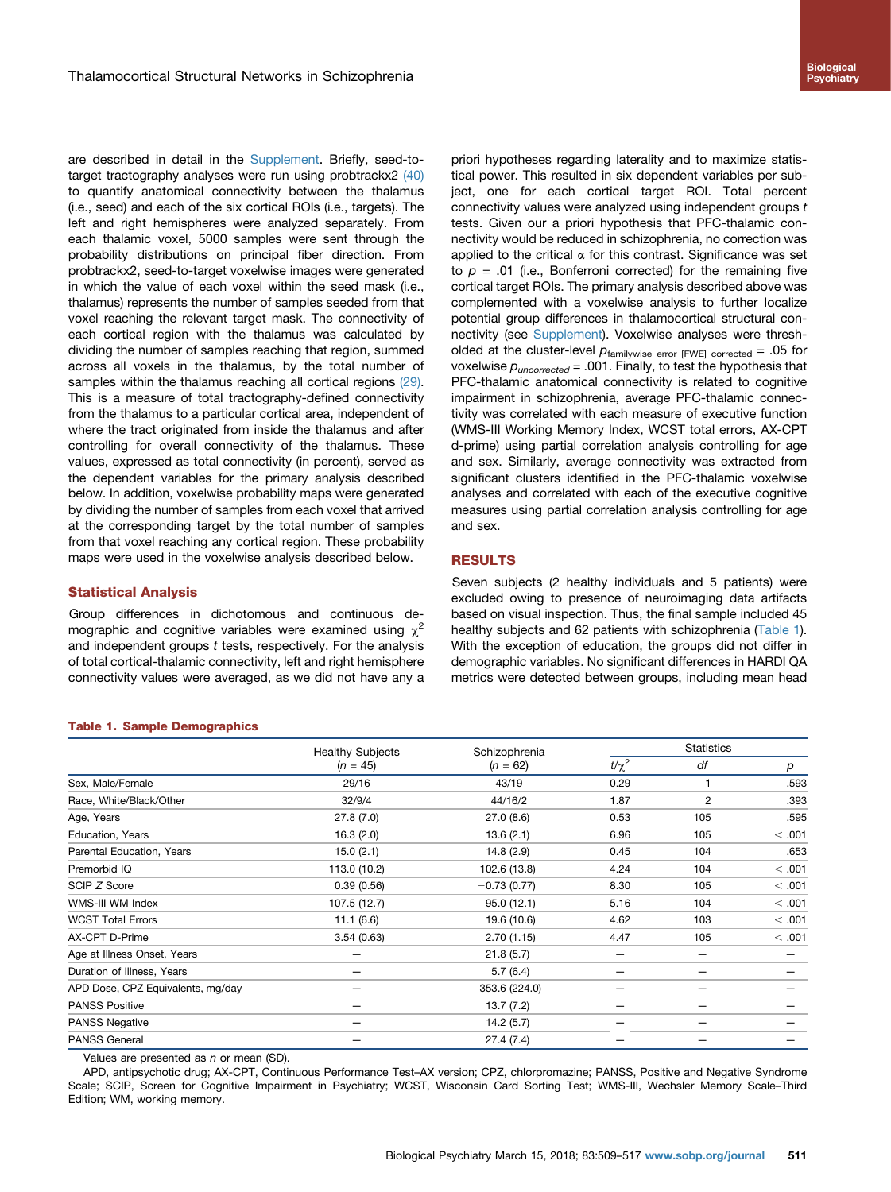<span id="page-2-0"></span>are described in detail in the Supplement. Briefly, seed-to-target tractography analyses were run using probtrackx2 [\(40\)](#page-7-0) to quantify anatomical connectivity between the thalamus (i.e., seed) and each of the six cortical ROIs (i.e., targets). The left and right hemispheres were analyzed separately. From each thalamic voxel, 5000 samples were sent through the probability distributions on principal fiber direction. From probtrackx2, seed-to-target voxelwise images were generated in which the value of each voxel within the seed mask (i.e., thalamus) represents the number of samples seeded from that voxel reaching the relevant target mask. The connectivity of each cortical region with the thalamus was calculated by dividing the number of samples reaching that region, summed across all voxels in the thalamus, by the total number of samples within the thalamus reaching all cortical regions [\(29\)](#page-7-0). This is a measure of total tractography-defined connectivity from the thalamus to a particular cortical area, independent of where the tract originated from inside the thalamus and after controlling for overall connectivity of the thalamus. These values, expressed as total connectivity (in percent), served as the dependent variables for the primary analysis described below. In addition, voxelwise probability maps were generated by dividing the number of samples from each voxel that arrived at the corresponding target by the total number of samples from that voxel reaching any cortical region. These probability maps were used in the voxelwise analysis described below.

#### Statistical Analysis

Group differences in dichotomous and continuous demographic and cognitive variables were examined using  $\chi^2$ and independent groups t tests, respectively. For the analysis of total cortical-thalamic connectivity, left and right hemisphere connectivity values were averaged, as we did not have any a

#### Table 1. Sample Demographics

priori hypotheses regarding laterality and to maximize statistical power. This resulted in six dependent variables per subject, one for each cortical target ROI. Total percent connectivity values were analyzed using independent groups t tests. Given our a priori hypothesis that PFC-thalamic connectivity would be reduced in schizophrenia, no correction was applied to the critical  $\alpha$  for this contrast. Significance was set to  $p = .01$  (i.e., Bonferroni corrected) for the remaining five cortical target ROIs. The primary analysis described above was complemented with a voxelwise analysis to further localize potential group differences in thalamocortical structural connectivity (see Supplement). Voxelwise analyses were thresholded at the cluster-level  $p_{\text{familywise error [FWE] corrected}} = .05$  for voxelwise  $p_{uncorrected} = .001$ . Finally, to test the hypothesis that PFC-thalamic anatomical connectivity is related to cognitive impairment in schizophrenia, average PFC-thalamic connectivity was correlated with each measure of executive function (WMS-III Working Memory Index, WCST total errors, AX-CPT d-prime) using partial correlation analysis controlling for age and sex. Similarly, average connectivity was extracted from significant clusters identified in the PFC-thalamic voxelwise analyses and correlated with each of the executive cognitive measures using partial correlation analysis controlling for age and sex.

# RESULTS

Seven subjects (2 healthy individuals and 5 patients) were excluded owing to presence of neuroimaging data artifacts based on visual inspection. Thus, the final sample included 45 healthy subjects and 62 patients with schizophrenia (Table 1). With the exception of education, the groups did not differ in demographic variables. No significant differences in HARDI QA metrics were detected between groups, including mean head

|                                   | <b>Healthy Subjects</b><br>$(n = 45)$ | Schizophrenia<br>$(n = 62)$ | <b>Statistics</b> |     |        |
|-----------------------------------|---------------------------------------|-----------------------------|-------------------|-----|--------|
|                                   |                                       |                             | $t/\chi^2$        | df  | р      |
| Sex, Male/Female                  | 29/16                                 | 43/19                       | 0.29              |     | .593   |
| Race, White/Black/Other           | 32/9/4                                | 44/16/2                     | 1.87              | 2   | .393   |
| Age, Years                        | 27.8(7.0)                             | 27.0(8.6)                   | 0.53              | 105 | .595   |
| Education, Years                  | 16.3(2.0)                             | 13.6(2.1)                   | 6.96              | 105 | < .001 |
| Parental Education, Years         | 15.0(2.1)                             | 14.8 (2.9)                  | 0.45              | 104 | .653   |
| Premorbid IQ                      | 113.0 (10.2)                          | 102.6 (13.8)                | 4.24              | 104 | < .001 |
| SCIP Z Score                      | 0.39(0.56)                            | $-0.73(0.77)$               | 8.30              | 105 | < .001 |
| WMS-III WM Index                  | 107.5 (12.7)                          | 95.0(12.1)                  | 5.16              | 104 | < .001 |
| <b>WCST Total Errors</b>          | 11.1(6.6)                             | 19.6 (10.6)                 | 4.62              | 103 | < .001 |
| AX-CPT D-Prime                    | 3.54(0.63)                            | 2.70(1.15)                  | 4.47              | 105 | < .001 |
| Age at Illness Onset, Years       |                                       | 21.8(5.7)                   |                   |     |        |
| Duration of Illness, Years        |                                       | 5.7(6.4)                    |                   |     |        |
| APD Dose, CPZ Equivalents, mg/day |                                       | 353.6 (224.0)               |                   |     |        |
| <b>PANSS Positive</b>             |                                       | 13.7(7.2)                   |                   |     |        |
| <b>PANSS Negative</b>             |                                       | 14.2(5.7)                   |                   |     |        |
| <b>PANSS General</b>              |                                       | 27.4 (7.4)                  |                   |     |        |

Values are presented as  $n$  or mean (SD).

APD, antipsychotic drug; AX-CPT, Continuous Performance Test–AX version; CPZ, chlorpromazine; PANSS, Positive and Negative Syndrome Scale; SCIP, Screen for Cognitive Impairment in Psychiatry; WCST, Wisconsin Card Sorting Test; WMS-III, Wechsler Memory Scale–Third Edition; WM, working memory.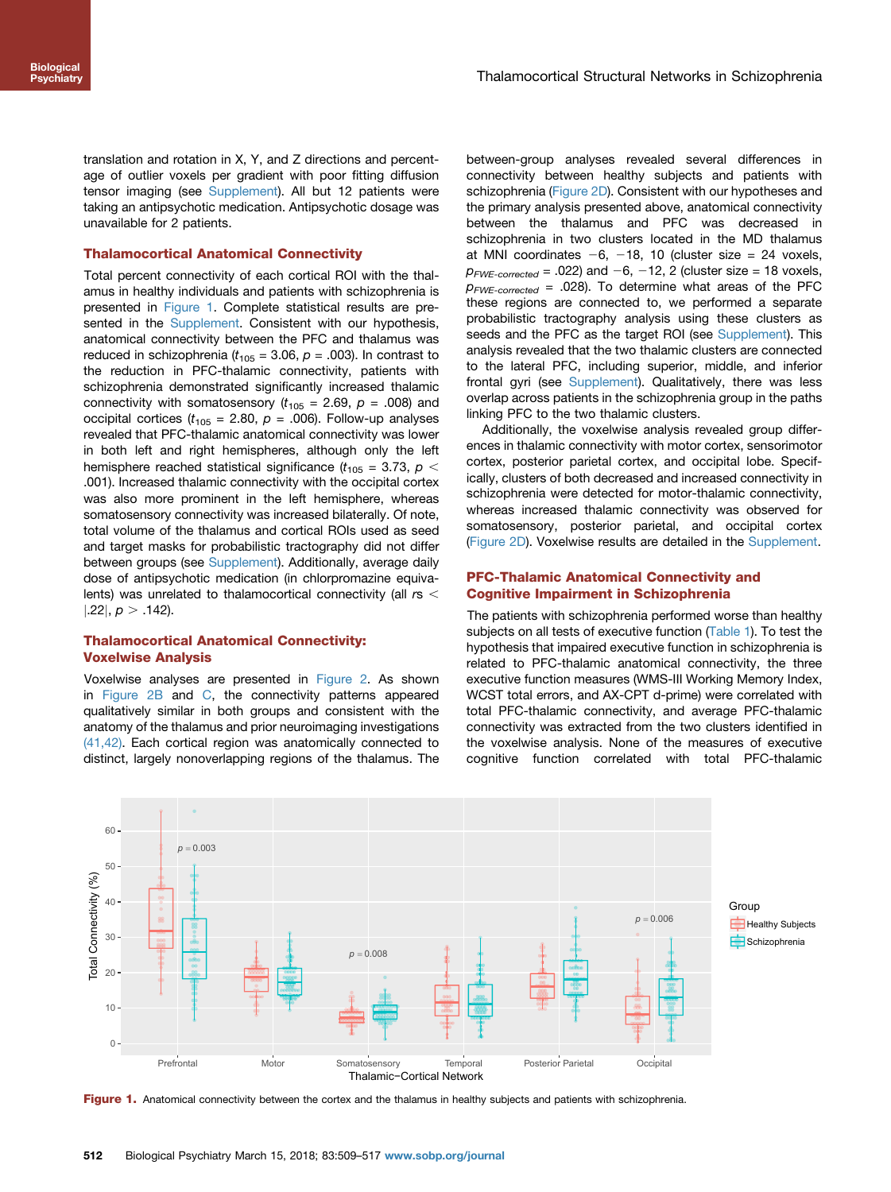translation and rotation in X, Y, and Z directions and percentage of outlier voxels per gradient with poor fitting diffusion tensor imaging (see Supplement). All but 12 patients were taking an antipsychotic medication. Antipsychotic dosage was unavailable for 2 patients.

#### Thalamocortical Anatomical Connectivity

Total percent connectivity of each cortical ROI with the thalamus in healthy individuals and patients with schizophrenia is presented in Figure 1. Complete statistical results are presented in the Supplement. Consistent with our hypothesis, anatomical connectivity between the PFC and thalamus was reduced in schizophrenia ( $t_{105}$  = 3.06,  $p$  = .003). In contrast to the reduction in PFC-thalamic connectivity, patients with schizophrenia demonstrated significantly increased thalamic connectivity with somatosensory ( $t_{105}$  = 2.69,  $p$  = .008) and occipital cortices ( $t_{105}$  = 2.80,  $p$  = .006). Follow-up analyses revealed that PFC-thalamic anatomical connectivity was lower in both left and right hemispheres, although only the left hemisphere reached statistical significance ( $t_{105}$  = 3.73,  $p$  < .001). Increased thalamic connectivity with the occipital cortex was also more prominent in the left hemisphere, whereas somatosensory connectivity was increased bilaterally. Of note, total volume of the thalamus and cortical ROIs used as seed and target masks for probabilistic tractography did not differ between groups (see Supplement). Additionally, average daily dose of antipsychotic medication (in chlorpromazine equivalents) was unrelated to thalamocortical connectivity (all  $rs <$  $|.22|, p > .142$ ).

# Thalamocortical Anatomical Connectivity: Voxelwise Analysis

Voxelwise analyses are presented in [Figure 2](#page-4-0). As shown in [Figure 2B](#page-4-0) and [C](#page-4-0), the connectivity patterns appeared qualitatively similar in both groups and consistent with the anatomy of the thalamus and prior neuroimaging investigations [\(41,42\)](#page-7-0). Each cortical region was anatomically connected to distinct, largely nonoverlapping regions of the thalamus. The

between-group analyses revealed several differences in connectivity between healthy subjects and patients with schizophrenia ([Figure 2D\)](#page-4-0). Consistent with our hypotheses and the primary analysis presented above, anatomical connectivity between the thalamus and PFC was decreased in schizophrenia in two clusters located in the MD thalamus at MNI coordinates  $-6$ ,  $-18$ , 10 (cluster size = 24 voxels,  $p_{FWE-corrected} = .022$ ) and  $-6$ ,  $-12$ , 2 (cluster size = 18 voxels,  $p_{FWE\text{-}corrected}$  = .028). To determine what areas of the PFC these regions are connected to, we performed a separate probabilistic tractography analysis using these clusters as seeds and the PFC as the target ROI (see Supplement). This analysis revealed that the two thalamic clusters are connected to the lateral PFC, including superior, middle, and inferior frontal gyri (see Supplement). Qualitatively, there was less overlap across patients in the schizophrenia group in the paths linking PFC to the two thalamic clusters.

Additionally, the voxelwise analysis revealed group differences in thalamic connectivity with motor cortex, sensorimotor cortex, posterior parietal cortex, and occipital lobe. Specifically, clusters of both decreased and increased connectivity in schizophrenia were detected for motor-thalamic connectivity, whereas increased thalamic connectivity was observed for somatosensory, posterior parietal, and occipital cortex [\(Figure 2D](#page-4-0)). Voxelwise results are detailed in the Supplement.

#### PFC-Thalamic Anatomical Connectivity and Cognitive Impairment in Schizophrenia

The patients with schizophrenia performed worse than healthy subjects on all tests of executive function ([Table 1](#page-2-0)). To test the hypothesis that impaired executive function in schizophrenia is related to PFC-thalamic anatomical connectivity, the three executive function measures (WMS-III Working Memory Index, WCST total errors, and AX-CPT d-prime) were correlated with total PFC-thalamic connectivity, and average PFC-thalamic connectivity was extracted from the two clusters identified in the voxelwise analysis. None of the measures of executive cognitive function correlated with total PFC-thalamic



Figure 1. Anatomical connectivity between the cortex and the thalamus in healthy subjects and patients with schizophrenia.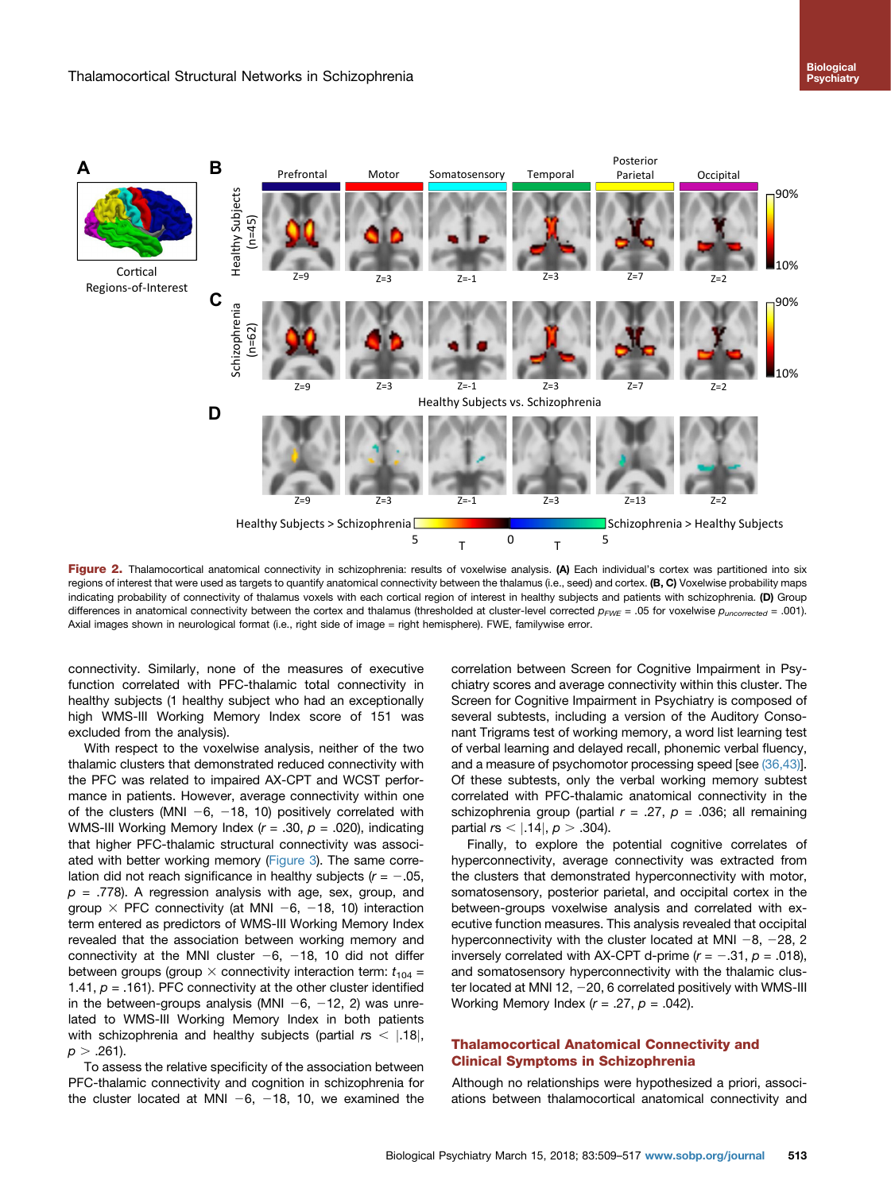<span id="page-4-0"></span>

Figure 2. Thalamocortical anatomical connectivity in schizophrenia: results of voxelwise analysis. (A) Each individual's cortex was partitioned into six regions of interest that were used as targets to quantify anatomical connectivity between the thalamus (i.e., seed) and cortex. (B, C) Voxelwise probability maps indicating probability of connectivity of thalamus voxels with each cortical region of interest in healthy subjects and patients with schizophrenia. (D) Group differences in anatomical connectivity between the cortex and thalamus (thresholded at cluster-level corrected  $p_{FWE} = .05$  for voxelwise  $p_{uncorrected} = .001$ ). Axial images shown in neurological format (i.e., right side of image = right hemisphere). FWE, familywise error.

connectivity. Similarly, none of the measures of executive function correlated with PFC-thalamic total connectivity in healthy subjects (1 healthy subject who had an exceptionally high WMS-III Working Memory Index score of 151 was excluded from the analysis).

With respect to the voxelwise analysis, neither of the two thalamic clusters that demonstrated reduced connectivity with the PFC was related to impaired AX-CPT and WCST performance in patients. However, average connectivity within one of the clusters (MNI  $-6$ ,  $-18$ , 10) positively correlated with WMS-III Working Memory Index  $(r = .30, p = .020)$ , indicating that higher PFC-thalamic structural connectivity was associ-ated with better working memory ([Figure 3\)](#page-5-0). The same correlation did not reach significance in healthy subjects ( $r = -0.05$ ,  $p = .778$ ). A regression analysis with age, sex, group, and group  $\times$  PFC connectivity (at MNI -6, -18, 10) interaction term entered as predictors of WMS-III Working Memory Index revealed that the association between working memory and connectivity at the MNI cluster  $-6$ ,  $-18$ , 10 did not differ between groups (group  $\times$  connectivity interaction term:  $t_{104}$  = 1.41,  $p = .161$ ). PFC connectivity at the other cluster identified in the between-groups analysis (MNI  $-6$ ,  $-12$ , 2) was unrelated to WMS-III Working Memory Index in both patients with schizophrenia and healthy subjects (partial  $rs <$  | 18|,  $p > .261$ ).

To assess the relative specificity of the association between PFC-thalamic connectivity and cognition in schizophrenia for the cluster located at MNI  $-6$ ,  $-18$ , 10, we examined the correlation between Screen for Cognitive Impairment in Psychiatry scores and average connectivity within this cluster. The Screen for Cognitive Impairment in Psychiatry is composed of several subtests, including a version of the Auditory Consonant Trigrams test of working memory, a word list learning test of verbal learning and delayed recall, phonemic verbal fluency, and a measure of psychomotor processing speed [see [\(36,43\)\]](#page-7-0). Of these subtests, only the verbal working memory subtest correlated with PFC-thalamic anatomical connectivity in the schizophrenia group (partial  $r = .27$ ,  $p = .036$ ; all remaining partial  $rs < |.14|, p > .304$ .

Finally, to explore the potential cognitive correlates of hyperconnectivity, average connectivity was extracted from the clusters that demonstrated hyperconnectivity with motor, somatosensory, posterior parietal, and occipital cortex in the between-groups voxelwise analysis and correlated with executive function measures. This analysis revealed that occipital hyperconnectivity with the cluster located at MNI  $-8$ ,  $-28$ , 2 inversely correlated with AX-CPT d-prime ( $r = -.31$ ,  $p = .018$ ), and somatosensory hyperconnectivity with the thalamic cluster located at MNI 12,  $-20$ , 6 correlated positively with WMS-III Working Memory Index  $(r = .27, p = .042)$ .

# Thalamocortical Anatomical Connectivity and Clinical Symptoms in Schizophrenia

Although no relationships were hypothesized a priori, associations between thalamocortical anatomical connectivity and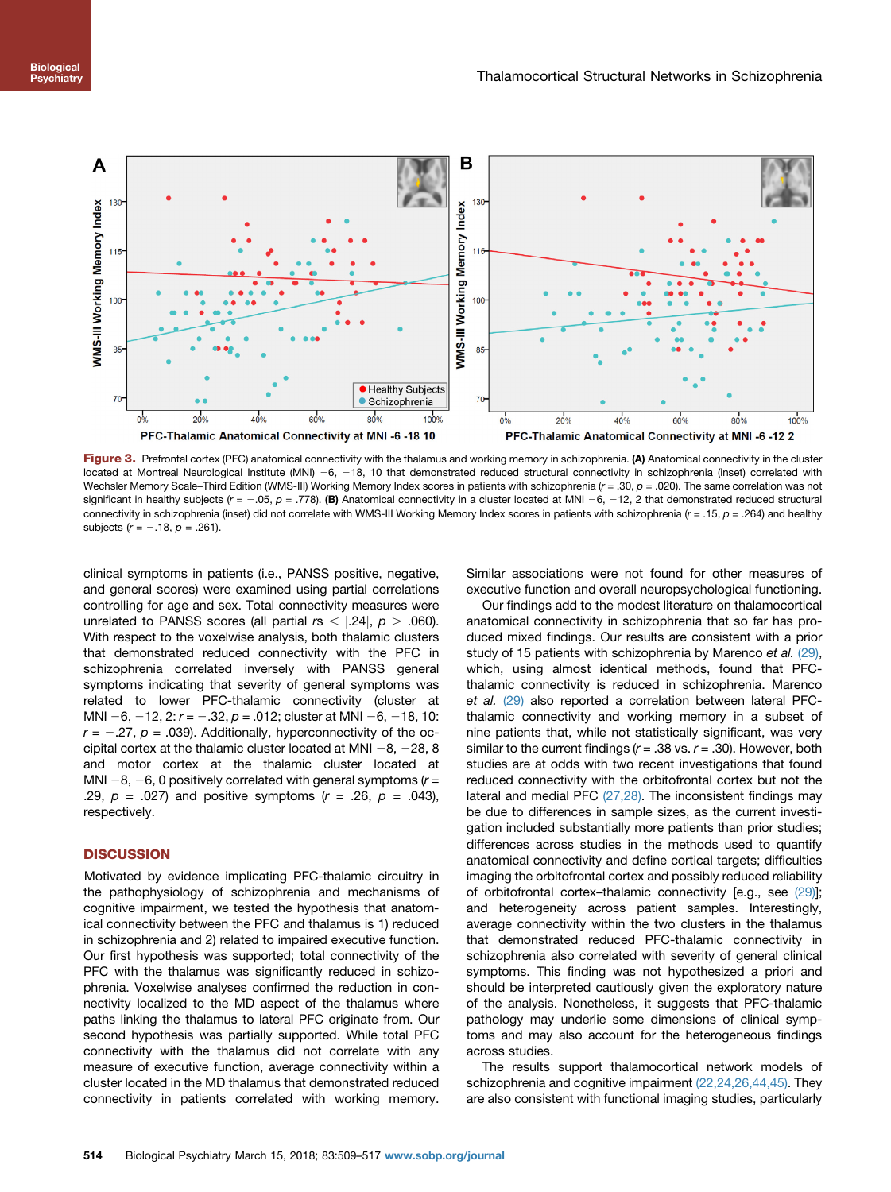<span id="page-5-0"></span>

Figure 3. Prefrontal cortex (PFC) anatomical connectivity with the thalamus and working memory in schizophrenia. (A) Anatomical connectivity in the cluster located at Montreal Neurological Institute (MNI) -6, -18, 10 that demonstrated reduced structural connectivity in schizophrenia (inset) correlated with Wechsler Memory Scale–Third Edition (WMS-III) Working Memory Index scores in patients with schizophrenia ( $r = .30$ ,  $p = .020$ ). The same correlation was not significant in healthy subjects ( $r = -.05$ ,  $p = .778$ ). (B) Anatomical connectivity in a cluster located at MNI -6, -12, 2 that demonstrated reduced structural connectivity in schizophrenia (inset) did not correlate with WMS-III Working Memory Index scores in patients with schizophrenia (r = .15, p = .264) and healthy subjects ( $r = -.18$ ,  $p = .261$ ).

clinical symptoms in patients (i.e., PANSS positive, negative, and general scores) were examined using partial correlations controlling for age and sex. Total connectivity measures were unrelated to PANSS scores (all partial  $rs <$  |.24|,  $p >$  .060). With respect to the voxelwise analysis, both thalamic clusters that demonstrated reduced connectivity with the PFC in schizophrenia correlated inversely with PANSS general symptoms indicating that severity of general symptoms was related to lower PFC-thalamic connectivity (cluster at MNI -6, -12, 2:  $r = -.32$ ,  $p = .012$ ; cluster at MNI -6, -18, 10:  $r = -.27$ ,  $p = .039$ ). Additionally, hyperconnectivity of the occipital cortex at the thalamic cluster located at MNI  $-8$ ,  $-28$ , 8 and motor cortex at the thalamic cluster located at MNI  $-8$ ,  $-6$ , 0 positively correlated with general symptoms ( $r =$ .29,  $p = .027$ ) and positive symptoms ( $r = .26$ ,  $p = .043$ ), respectively.

# **DISCUSSION**

Motivated by evidence implicating PFC-thalamic circuitry in the pathophysiology of schizophrenia and mechanisms of cognitive impairment, we tested the hypothesis that anatomical connectivity between the PFC and thalamus is 1) reduced in schizophrenia and 2) related to impaired executive function. Our first hypothesis was supported; total connectivity of the PFC with the thalamus was significantly reduced in schizophrenia. Voxelwise analyses confirmed the reduction in connectivity localized to the MD aspect of the thalamus where paths linking the thalamus to lateral PFC originate from. Our second hypothesis was partially supported. While total PFC connectivity with the thalamus did not correlate with any measure of executive function, average connectivity within a cluster located in the MD thalamus that demonstrated reduced connectivity in patients correlated with working memory.

Similar associations were not found for other measures of executive function and overall neuropsychological functioning.

Our findings add to the modest literature on thalamocortical anatomical connectivity in schizophrenia that so far has produced mixed findings. Our results are consistent with a prior study of 15 patients with schizophrenia by Marenco et al. [\(29\),](#page-7-0) which, using almost identical methods, found that PFCthalamic connectivity is reduced in schizophrenia. Marenco et al. [\(29\)](#page-7-0) also reported a correlation between lateral PFCthalamic connectivity and working memory in a subset of nine patients that, while not statistically significant, was very similar to the current findings  $(r = .38 \text{ vs. } r = .30)$ . However, both studies are at odds with two recent investigations that found reduced connectivity with the orbitofrontal cortex but not the lateral and medial PFC [\(27,28\)](#page-7-0). The inconsistent findings may be due to differences in sample sizes, as the current investigation included substantially more patients than prior studies; differences across studies in the methods used to quantify anatomical connectivity and define cortical targets; difficulties imaging the orbitofrontal cortex and possibly reduced reliability of orbitofrontal cortex–thalamic connectivity [e.g., see [\(29\)\]](#page-7-0); and heterogeneity across patient samples. Interestingly, average connectivity within the two clusters in the thalamus that demonstrated reduced PFC-thalamic connectivity in schizophrenia also correlated with severity of general clinical symptoms. This finding was not hypothesized a priori and should be interpreted cautiously given the exploratory nature of the analysis. Nonetheless, it suggests that PFC-thalamic pathology may underlie some dimensions of clinical symptoms and may also account for the heterogeneous findings across studies.

The results support thalamocortical network models of schizophrenia and cognitive impairment [\(22,24,26,44,45\)](#page-7-0). They are also consistent with functional imaging studies, particularly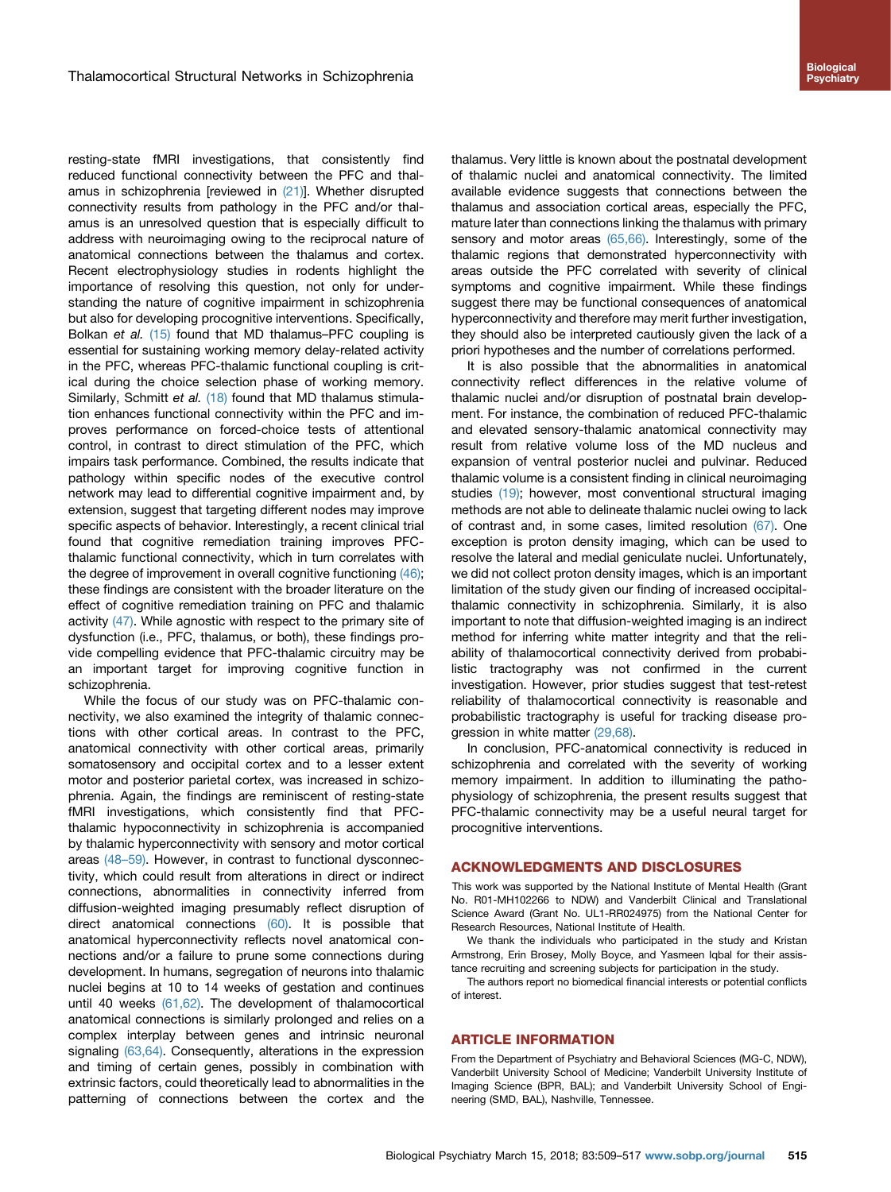resting-state fMRI investigations, that consistently find reduced functional connectivity between the PFC and thal-amus in schizophrenia [reviewed in [\(21\)](#page-7-0)]. Whether disrupted connectivity results from pathology in the PFC and/or thalamus is an unresolved question that is especially difficult to address with neuroimaging owing to the reciprocal nature of anatomical connections between the thalamus and cortex. Recent electrophysiology studies in rodents highlight the importance of resolving this question, not only for understanding the nature of cognitive impairment in schizophrenia but also for developing procognitive interventions. Specifically, Bolkan et al. [\(15\)](#page-7-0) found that MD thalamus–PFC coupling is essential for sustaining working memory delay-related activity in the PFC, whereas PFC-thalamic functional coupling is critical during the choice selection phase of working memory. Similarly, Schmitt et al. [\(18\)](#page-7-0) found that MD thalamus stimulation enhances functional connectivity within the PFC and improves performance on forced-choice tests of attentional control, in contrast to direct stimulation of the PFC, which impairs task performance. Combined, the results indicate that pathology within specific nodes of the executive control network may lead to differential cognitive impairment and, by extension, suggest that targeting different nodes may improve specific aspects of behavior. Interestingly, a recent clinical trial found that cognitive remediation training improves PFCthalamic functional connectivity, which in turn correlates with the degree of improvement in overall cognitive functioning [\(46\)](#page-8-0); these findings are consistent with the broader literature on the effect of cognitive remediation training on PFC and thalamic activity [\(47\).](#page-8-0) While agnostic with respect to the primary site of dysfunction (i.e., PFC, thalamus, or both), these findings provide compelling evidence that PFC-thalamic circuitry may be an important target for improving cognitive function in schizophrenia.

While the focus of our study was on PFC-thalamic connectivity, we also examined the integrity of thalamic connections with other cortical areas. In contrast to the PFC, anatomical connectivity with other cortical areas, primarily somatosensory and occipital cortex and to a lesser extent motor and posterior parietal cortex, was increased in schizophrenia. Again, the findings are reminiscent of resting-state fMRI investigations, which consistently find that PFCthalamic hypoconnectivity in schizophrenia is accompanied by thalamic hyperconnectivity with sensory and motor cortical areas (48–[59\).](#page-8-0) However, in contrast to functional dysconnectivity, which could result from alterations in direct or indirect connections, abnormalities in connectivity inferred from diffusion-weighted imaging presumably reflect disruption of direct anatomical connections [\(60\)](#page-8-0). It is possible that anatomical hyperconnectivity reflects novel anatomical connections and/or a failure to prune some connections during development. In humans, segregation of neurons into thalamic nuclei begins at 10 to 14 weeks of gestation and continues until 40 weeks [\(61,62\).](#page-8-0) The development of thalamocortical anatomical connections is similarly prolonged and relies on a complex interplay between genes and intrinsic neuronal signaling [\(63,64\).](#page-8-0) Consequently, alterations in the expression and timing of certain genes, possibly in combination with extrinsic factors, could theoretically lead to abnormalities in the patterning of connections between the cortex and the

thalamus. Very little is known about the postnatal development of thalamic nuclei and anatomical connectivity. The limited available evidence suggests that connections between the thalamus and association cortical areas, especially the PFC, mature later than connections linking the thalamus with primary sensory and motor areas  $(65,66)$ . Interestingly, some of the thalamic regions that demonstrated hyperconnectivity with areas outside the PFC correlated with severity of clinical symptoms and cognitive impairment. While these findings suggest there may be functional consequences of anatomical hyperconnectivity and therefore may merit further investigation, they should also be interpreted cautiously given the lack of a priori hypotheses and the number of correlations performed.

It is also possible that the abnormalities in anatomical connectivity reflect differences in the relative volume of thalamic nuclei and/or disruption of postnatal brain development. For instance, the combination of reduced PFC-thalamic and elevated sensory-thalamic anatomical connectivity may result from relative volume loss of the MD nucleus and expansion of ventral posterior nuclei and pulvinar. Reduced thalamic volume is a consistent finding in clinical neuroimaging studies [\(19\)](#page-7-0); however, most conventional structural imaging methods are not able to delineate thalamic nuclei owing to lack of contrast and, in some cases, limited resolution [\(67\)](#page-8-0). One exception is proton density imaging, which can be used to resolve the lateral and medial geniculate nuclei. Unfortunately, we did not collect proton density images, which is an important limitation of the study given our finding of increased occipitalthalamic connectivity in schizophrenia. Similarly, it is also important to note that diffusion-weighted imaging is an indirect method for inferring white matter integrity and that the reliability of thalamocortical connectivity derived from probabilistic tractography was not confirmed in the current investigation. However, prior studies suggest that test-retest reliability of thalamocortical connectivity is reasonable and probabilistic tractography is useful for tracking disease progression in white matter [\(29,68\)](#page-7-0).

In conclusion, PFC-anatomical connectivity is reduced in schizophrenia and correlated with the severity of working memory impairment. In addition to illuminating the pathophysiology of schizophrenia, the present results suggest that PFC-thalamic connectivity may be a useful neural target for procognitive interventions.

#### ACKNOWLEDGMENTS AND DISCLOSURES

This work was supported by the National Institute of Mental Health (Grant No. R01-MH102266 to NDW) and Vanderbilt Clinical and Translational Science Award (Grant No. UL1-RR024975) from the National Center for Research Resources, National Institute of Health.

We thank the individuals who participated in the study and Kristan Armstrong, Erin Brosey, Molly Boyce, and Yasmeen Iqbal for their assistance recruiting and screening subjects for participation in the study.

The authors report no biomedical financial interests or potential conflicts of interest.

#### ARTICLE INFORMATION

From the Department of Psychiatry and Behavioral Sciences (MG-C, NDW), Vanderbilt University School of Medicine; Vanderbilt University Institute of Imaging Science (BPR, BAL); and Vanderbilt University School of Engineering (SMD, BAL), Nashville, Tennessee.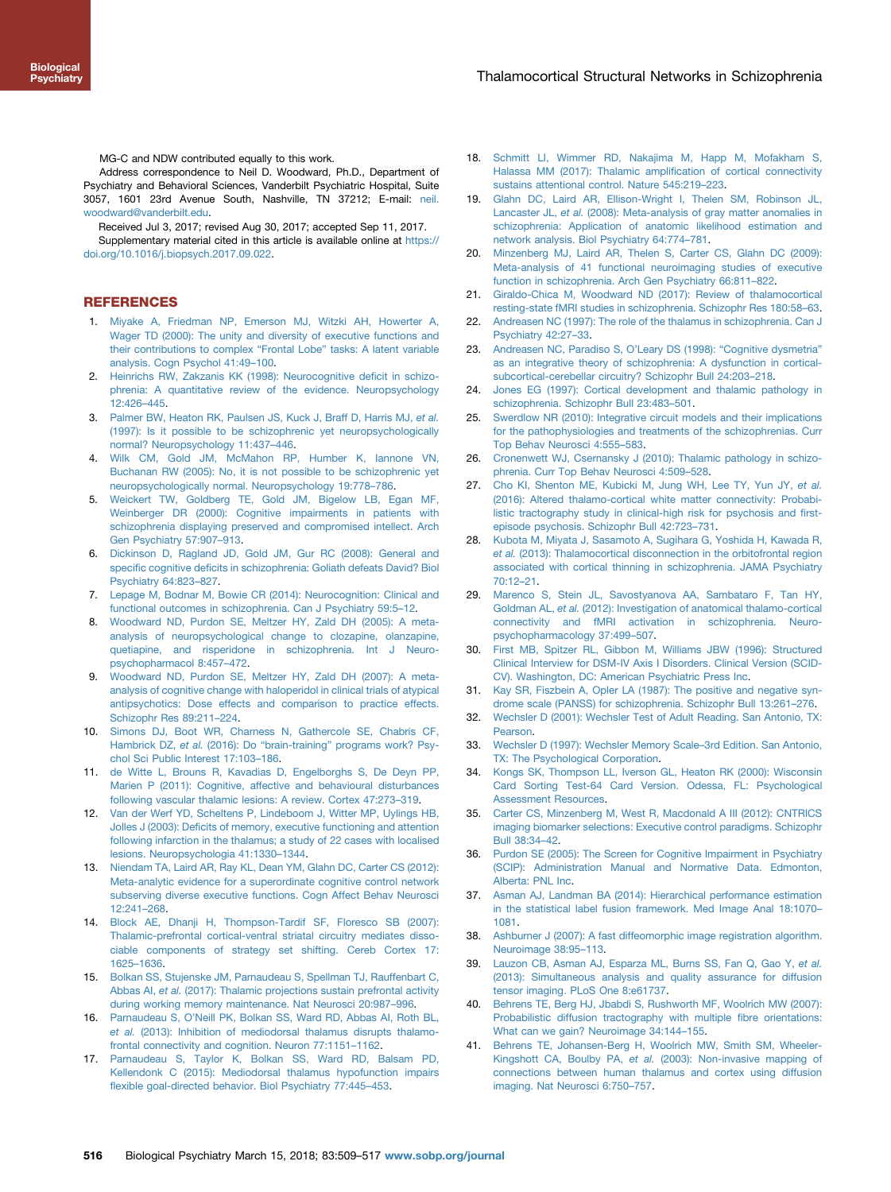<span id="page-7-0"></span>MG-C and NDW contributed equally to this work.

Address correspondence to Neil D. Woodward, Ph.D., Department of Psychiatry and Behavioral Sciences, Vanderbilt Psychiatric Hospital, Suite 3057, 1601 23rd Avenue South, Nashville, TN 37212; E-mail: [neil.](mailto:neil.woodward@vanderbilt.edu) [woodward@vanderbilt.edu.](mailto:neil.woodward@vanderbilt.edu)

Received Jul 3, 2017; revised Aug 30, 2017; accepted Sep 11, 2017. Supplementary material cited in this article is available online at [https://](https://doi.org/10.1016/j.biopsych.2017.09.022) [doi.org/10.1016/j.biopsych.2017.09.022](https://doi.org/10.1016/j.biopsych.2017.09.022).

#### REFERENCES

- 1. [Miyake A, Friedman NP, Emerson MJ, Witzki AH, Howerter A,](http://refhub.elsevier.com/S0006-3223(17)32010-3/sref1) [Wager TD \(2000\): The unity and diversity of executive functions and](http://refhub.elsevier.com/S0006-3223(17)32010-3/sref1) [their contributions to complex](http://refhub.elsevier.com/S0006-3223(17)32010-3/sref1) "Frontal Lobe" tasks: A latent variable [analysis. Cogn Psychol 41:49](http://refhub.elsevier.com/S0006-3223(17)32010-3/sref1)–100.
- 2. [Heinrichs RW, Zakzanis KK \(1998\): Neurocognitive de](http://refhub.elsevier.com/S0006-3223(17)32010-3/sref2)ficit in schizo[phrenia: A quantitative review of the evidence. Neuropsychology](http://refhub.elsevier.com/S0006-3223(17)32010-3/sref2) [12:426](http://refhub.elsevier.com/S0006-3223(17)32010-3/sref2)–445.
- 3. [Palmer BW, Heaton RK, Paulsen JS, Kuck J, Braff D, Harris MJ,](http://refhub.elsevier.com/S0006-3223(17)32010-3/sref3) et al. [\(1997\): Is it possible to be schizophrenic yet neuropsychologically](http://refhub.elsevier.com/S0006-3223(17)32010-3/sref3) [normal? Neuropsychology 11:437](http://refhub.elsevier.com/S0006-3223(17)32010-3/sref3)–446.
- 4. [Wilk CM, Gold JM, McMahon RP, Humber K, Iannone VN,](http://refhub.elsevier.com/S0006-3223(17)32010-3/sref4) [Buchanan RW \(2005\): No, it is not possible to be schizophrenic yet](http://refhub.elsevier.com/S0006-3223(17)32010-3/sref4) [neuropsychologically normal. Neuropsychology 19:778](http://refhub.elsevier.com/S0006-3223(17)32010-3/sref4)–786.
- 5. [Weickert TW, Goldberg TE, Gold JM, Bigelow LB, Egan MF,](http://refhub.elsevier.com/S0006-3223(17)32010-3/sref5) [Weinberger DR \(2000\): Cognitive impairments in patients with](http://refhub.elsevier.com/S0006-3223(17)32010-3/sref5) [schizophrenia displaying preserved and compromised intellect. Arch](http://refhub.elsevier.com/S0006-3223(17)32010-3/sref5) [Gen Psychiatry 57:907](http://refhub.elsevier.com/S0006-3223(17)32010-3/sref5)–913.
- 6. [Dickinson D, Ragland JD, Gold JM, Gur RC \(2008\): General and](http://refhub.elsevier.com/S0006-3223(17)32010-3/sref6) specific cognitive defi[cits in schizophrenia: Goliath defeats David? Biol](http://refhub.elsevier.com/S0006-3223(17)32010-3/sref6) [Psychiatry 64:823](http://refhub.elsevier.com/S0006-3223(17)32010-3/sref6)–827.
- 7. [Lepage M, Bodnar M, Bowie CR \(2014\): Neurocognition: Clinical and](http://refhub.elsevier.com/S0006-3223(17)32010-3/sref7) [functional outcomes in schizophrenia. Can J Psychiatry 59:5](http://refhub.elsevier.com/S0006-3223(17)32010-3/sref7)–12.
- 8. [Woodward ND, Purdon SE, Meltzer HY, Zald DH \(2005\): A meta](http://refhub.elsevier.com/S0006-3223(17)32010-3/sref8)[analysis of neuropsychological change to clozapine, olanzapine,](http://refhub.elsevier.com/S0006-3223(17)32010-3/sref8) [quetiapine, and risperidone in schizophrenia. Int J Neuro](http://refhub.elsevier.com/S0006-3223(17)32010-3/sref8)[psychopharmacol 8:457](http://refhub.elsevier.com/S0006-3223(17)32010-3/sref8)–472.
- 9. [Woodward ND, Purdon SE, Meltzer HY, Zald DH \(2007\): A meta](http://refhub.elsevier.com/S0006-3223(17)32010-3/sref9)[analysis of cognitive change with haloperidol in clinical trials of atypical](http://refhub.elsevier.com/S0006-3223(17)32010-3/sref9) [antipsychotics: Dose effects and comparison to practice effects.](http://refhub.elsevier.com/S0006-3223(17)32010-3/sref9) [Schizophr Res 89:211](http://refhub.elsevier.com/S0006-3223(17)32010-3/sref9)–224.
- 10. [Simons DJ, Boot WR, Charness N, Gathercole SE, Chabris CF,](http://refhub.elsevier.com/S0006-3223(17)32010-3/sref10) Hambrick DZ, et al. (2016): Do "brain-training" [programs work? Psy](http://refhub.elsevier.com/S0006-3223(17)32010-3/sref10)[chol Sci Public Interest 17:103](http://refhub.elsevier.com/S0006-3223(17)32010-3/sref10)–186.
- 11. [de Witte L, Brouns R, Kavadias D, Engelborghs S, De Deyn PP,](http://refhub.elsevier.com/S0006-3223(17)32010-3/sref11) [Marien P \(2011\): Cognitive, affective and behavioural disturbances](http://refhub.elsevier.com/S0006-3223(17)32010-3/sref11) [following vascular thalamic lesions: A review. Cortex 47:273](http://refhub.elsevier.com/S0006-3223(17)32010-3/sref11)–319.
- 12. [Van der Werf YD, Scheltens P, Lindeboom J, Witter MP, Uylings HB,](http://refhub.elsevier.com/S0006-3223(17)32010-3/sref12) Jolles J (2003): Defi[cits of memory, executive functioning and attention](http://refhub.elsevier.com/S0006-3223(17)32010-3/sref12) [following infarction in the thalamus; a study of 22 cases with localised](http://refhub.elsevier.com/S0006-3223(17)32010-3/sref12) [lesions. Neuropsychologia 41:1330](http://refhub.elsevier.com/S0006-3223(17)32010-3/sref12)–1344.
- 13. [Niendam TA, Laird AR, Ray KL, Dean YM, Glahn DC, Carter CS \(2012\):](http://refhub.elsevier.com/S0006-3223(17)32010-3/sref13) [Meta-analytic evidence for a superordinate cognitive control network](http://refhub.elsevier.com/S0006-3223(17)32010-3/sref13) [subserving diverse executive functions. Cogn Affect Behav Neurosci](http://refhub.elsevier.com/S0006-3223(17)32010-3/sref13) [12:241](http://refhub.elsevier.com/S0006-3223(17)32010-3/sref13)–268.
- 14. [Block AE, Dhanji H, Thompson-Tardif SF, Floresco SB \(2007\):](http://refhub.elsevier.com/S0006-3223(17)32010-3/sref14) [Thalamic-prefrontal cortical-ventral striatal circuitry mediates disso](http://refhub.elsevier.com/S0006-3223(17)32010-3/sref14)[ciable components of strategy set shifting. Cereb Cortex 17:](http://refhub.elsevier.com/S0006-3223(17)32010-3/sref14) 1625–[1636.](http://refhub.elsevier.com/S0006-3223(17)32010-3/sref14)
- 15. [Bolkan SS, Stujenske JM, Parnaudeau S, Spellman TJ, Rauffenbart C,](http://refhub.elsevier.com/S0006-3223(17)32010-3/sref15) Abbas AI, et al. [\(2017\): Thalamic projections sustain prefrontal activity](http://refhub.elsevier.com/S0006-3223(17)32010-3/sref15) [during working memory maintenance. Nat Neurosci 20:987](http://refhub.elsevier.com/S0006-3223(17)32010-3/sref15)–996.
- 16. Parnaudeau S, O'[Neill PK, Bolkan SS, Ward RD, Abbas AI, Roth BL,](http://refhub.elsevier.com/S0006-3223(17)32010-3/sref16) et al. [\(2013\): Inhibition of mediodorsal thalamus disrupts thalamo](http://refhub.elsevier.com/S0006-3223(17)32010-3/sref16)[frontal connectivity and cognition. Neuron 77:1151](http://refhub.elsevier.com/S0006-3223(17)32010-3/sref16)–1162.
- 17. [Parnaudeau S, Taylor K, Bolkan SS, Ward RD, Balsam PD,](http://refhub.elsevier.com/S0006-3223(17)32010-3/sref17) [Kellendonk C \(2015\): Mediodorsal thalamus hypofunction impairs](http://refhub.elsevier.com/S0006-3223(17)32010-3/sref17) fl[exible goal-directed behavior. Biol Psychiatry 77:445](http://refhub.elsevier.com/S0006-3223(17)32010-3/sref17)–453.
- 18. [Schmitt LI, Wimmer RD, Nakajima M, Happ M, Mofakham S,](http://refhub.elsevier.com/S0006-3223(17)32010-3/sref18) [Halassa MM \(2017\): Thalamic ampli](http://refhub.elsevier.com/S0006-3223(17)32010-3/sref18)fication of cortical connectivity [sustains attentional control. Nature 545:219](http://refhub.elsevier.com/S0006-3223(17)32010-3/sref18)–223.
- 19. [Glahn DC, Laird AR, Ellison-Wright I, Thelen SM, Robinson JL,](http://refhub.elsevier.com/S0006-3223(17)32010-3/sref19) Lancaster JL, et al. [\(2008\): Meta-analysis of gray matter anomalies in](http://refhub.elsevier.com/S0006-3223(17)32010-3/sref19) [schizophrenia: Application of anatomic likelihood estimation and](http://refhub.elsevier.com/S0006-3223(17)32010-3/sref19) [network analysis. Biol Psychiatry 64:774](http://refhub.elsevier.com/S0006-3223(17)32010-3/sref19)–781.
- 20. [Minzenberg MJ, Laird AR, Thelen S, Carter CS, Glahn DC \(2009\):](http://refhub.elsevier.com/S0006-3223(17)32010-3/sref20) [Meta-analysis of 41 functional neuroimaging studies of executive](http://refhub.elsevier.com/S0006-3223(17)32010-3/sref20) [function in schizophrenia. Arch Gen Psychiatry 66:811](http://refhub.elsevier.com/S0006-3223(17)32010-3/sref20)–822.
- 21. [Giraldo-Chica M, Woodward ND \(2017\): Review of thalamocortical](http://refhub.elsevier.com/S0006-3223(17)32010-3/sref21) [resting-state fMRI studies in schizophrenia. Schizophr Res 180:58](http://refhub.elsevier.com/S0006-3223(17)32010-3/sref21)–63.
- 22. [Andreasen NC \(1997\): The role of the thalamus in schizophrenia. Can J](http://refhub.elsevier.com/S0006-3223(17)32010-3/sref22) [Psychiatry 42:27](http://refhub.elsevier.com/S0006-3223(17)32010-3/sref22)–33.
- 23. [Andreasen NC, Paradiso S, O](http://refhub.elsevier.com/S0006-3223(17)32010-3/sref23)'Leary DS (1998): "Cognitive dysmetria" [as an integrative theory of schizophrenia: A dysfunction in cortical](http://refhub.elsevier.com/S0006-3223(17)32010-3/sref23)[subcortical-cerebellar circuitry? Schizophr Bull 24:203](http://refhub.elsevier.com/S0006-3223(17)32010-3/sref23)–218.
- 24. [Jones EG \(1997\): Cortical development and thalamic pathology in](http://refhub.elsevier.com/S0006-3223(17)32010-3/sref24) [schizophrenia. Schizophr Bull 23:483](http://refhub.elsevier.com/S0006-3223(17)32010-3/sref24)–501.
- 25. [Swerdlow NR \(2010\): Integrative circuit models and their implications](http://refhub.elsevier.com/S0006-3223(17)32010-3/sref25) [for the pathophysiologies and treatments of the schizophrenias. Curr](http://refhub.elsevier.com/S0006-3223(17)32010-3/sref25) [Top Behav Neurosci 4:555](http://refhub.elsevier.com/S0006-3223(17)32010-3/sref25)–583.
- 26. [Cronenwett WJ, Csernansky J \(2010\): Thalamic pathology in schizo](http://refhub.elsevier.com/S0006-3223(17)32010-3/sref26)[phrenia. Curr Top Behav Neurosci 4:509](http://refhub.elsevier.com/S0006-3223(17)32010-3/sref26)–528.
- 27. [Cho KI, Shenton ME, Kubicki M, Jung WH, Lee TY, Yun JY,](http://refhub.elsevier.com/S0006-3223(17)32010-3/sref27) et al. [\(2016\): Altered thalamo-cortical white matter connectivity: Probabi](http://refhub.elsevier.com/S0006-3223(17)32010-3/sref27)[listic tractography study in clinical-high risk for psychosis and](http://refhub.elsevier.com/S0006-3223(17)32010-3/sref27) first[episode psychosis. Schizophr Bull 42:723](http://refhub.elsevier.com/S0006-3223(17)32010-3/sref27)–731.
- 28. [Kubota M, Miyata J, Sasamoto A, Sugihara G, Yoshida H, Kawada R,](http://refhub.elsevier.com/S0006-3223(17)32010-3/sref28) et al. [\(2013\): Thalamocortical disconnection in the orbitofrontal region](http://refhub.elsevier.com/S0006-3223(17)32010-3/sref28) [associated with cortical thinning in schizophrenia. JAMA Psychiatry](http://refhub.elsevier.com/S0006-3223(17)32010-3/sref28) [70:12](http://refhub.elsevier.com/S0006-3223(17)32010-3/sref28)–21.
- 29. [Marenco S, Stein JL, Savostyanova AA, Sambataro F, Tan HY,](http://refhub.elsevier.com/S0006-3223(17)32010-3/sref29) Goldman AL, et al. [\(2012\): Investigation of anatomical thalamo-cortical](http://refhub.elsevier.com/S0006-3223(17)32010-3/sref29) [connectivity and fMRI activation in schizophrenia. Neuro](http://refhub.elsevier.com/S0006-3223(17)32010-3/sref29)[psychopharmacology 37:499](http://refhub.elsevier.com/S0006-3223(17)32010-3/sref29)–507.
- 30. [First MB, Spitzer RL, Gibbon M, Williams JBW \(1996\): Structured](http://refhub.elsevier.com/S0006-3223(17)32010-3/sref30) [Clinical Interview for DSM-IV Axis I Disorders. Clinical Version \(SCID-](http://refhub.elsevier.com/S0006-3223(17)32010-3/sref30)[CV\). Washington, DC: American Psychiatric Press Inc](http://refhub.elsevier.com/S0006-3223(17)32010-3/sref30).
- 31. [Kay SR, Fiszbein A, Opler LA \(1987\): The positive and negative syn](http://refhub.elsevier.com/S0006-3223(17)32010-3/sref31)[drome scale \(PANSS\) for schizophrenia. Schizophr Bull 13:261](http://refhub.elsevier.com/S0006-3223(17)32010-3/sref31)–276.
- 32. [Wechsler D \(2001\): Wechsler Test of Adult Reading. San Antonio, TX:](http://refhub.elsevier.com/S0006-3223(17)32010-3/sref32) [Pearson](http://refhub.elsevier.com/S0006-3223(17)32010-3/sref32).
- 33. [Wechsler D \(1997\): Wechsler Memory Scale](http://refhub.elsevier.com/S0006-3223(17)32010-3/sref33)–3rd Edition. San Antonio, [TX: The Psychological Corporation](http://refhub.elsevier.com/S0006-3223(17)32010-3/sref33).
- 34. [Kongs SK, Thompson LL, Iverson GL, Heaton RK \(2000\): Wisconsin](http://refhub.elsevier.com/S0006-3223(17)32010-3/sref34) [Card Sorting Test-64 Card Version. Odessa, FL: Psychological](http://refhub.elsevier.com/S0006-3223(17)32010-3/sref34) [Assessment Resources](http://refhub.elsevier.com/S0006-3223(17)32010-3/sref34).
- 35. [Carter CS, Minzenberg M, West R, Macdonald A III \(2012\): CNTRICS](http://refhub.elsevier.com/S0006-3223(17)32010-3/sref35) [imaging biomarker selections: Executive control paradigms. Schizophr](http://refhub.elsevier.com/S0006-3223(17)32010-3/sref35) [Bull 38:34](http://refhub.elsevier.com/S0006-3223(17)32010-3/sref35)–42.
- 36. [Purdon SE \(2005\): The Screen for Cognitive Impairment in Psychiatry](http://refhub.elsevier.com/S0006-3223(17)32010-3/sref36) [\(SCIP\): Administration Manual and Normative Data. Edmonton,](http://refhub.elsevier.com/S0006-3223(17)32010-3/sref36) [Alberta: PNL Inc](http://refhub.elsevier.com/S0006-3223(17)32010-3/sref36).
- 37. [Asman AJ, Landman BA \(2014\): Hierarchical performance estimation](http://refhub.elsevier.com/S0006-3223(17)32010-3/sref37) [in the statistical label fusion framework. Med Image Anal 18:1070](http://refhub.elsevier.com/S0006-3223(17)32010-3/sref37)– [1081](http://refhub.elsevier.com/S0006-3223(17)32010-3/sref37).
- 38. [Ashburner J \(2007\): A fast diffeomorphic image registration algorithm.](http://refhub.elsevier.com/S0006-3223(17)32010-3/sref38) [Neuroimage 38:95](http://refhub.elsevier.com/S0006-3223(17)32010-3/sref38)–113.
- 39. [Lauzon CB, Asman AJ, Esparza ML, Burns SS, Fan Q, Gao Y,](http://refhub.elsevier.com/S0006-3223(17)32010-3/sref39) et al. [\(2013\): Simultaneous analysis and quality assurance for diffusion](http://refhub.elsevier.com/S0006-3223(17)32010-3/sref39) [tensor imaging. PLoS One 8:e61737](http://refhub.elsevier.com/S0006-3223(17)32010-3/sref39).
- 40. [Behrens TE, Berg HJ, Jbabdi S, Rushworth MF, Woolrich MW \(2007\):](http://refhub.elsevier.com/S0006-3223(17)32010-3/sref40) [Probabilistic diffusion tractography with multiple](http://refhub.elsevier.com/S0006-3223(17)32010-3/sref40) fibre orientations: [What can we gain? Neuroimage 34:144](http://refhub.elsevier.com/S0006-3223(17)32010-3/sref40)–155.
- 41. [Behrens TE, Johansen-Berg H, Woolrich MW, Smith SM, Wheeler-](http://refhub.elsevier.com/S0006-3223(17)32010-3/sref41)Kingshott CA, Boulby PA, et al. [\(2003\): Non-invasive mapping of](http://refhub.elsevier.com/S0006-3223(17)32010-3/sref41) [connections between human thalamus and cortex using diffusion](http://refhub.elsevier.com/S0006-3223(17)32010-3/sref41) [imaging. Nat Neurosci 6:750](http://refhub.elsevier.com/S0006-3223(17)32010-3/sref41)–757.